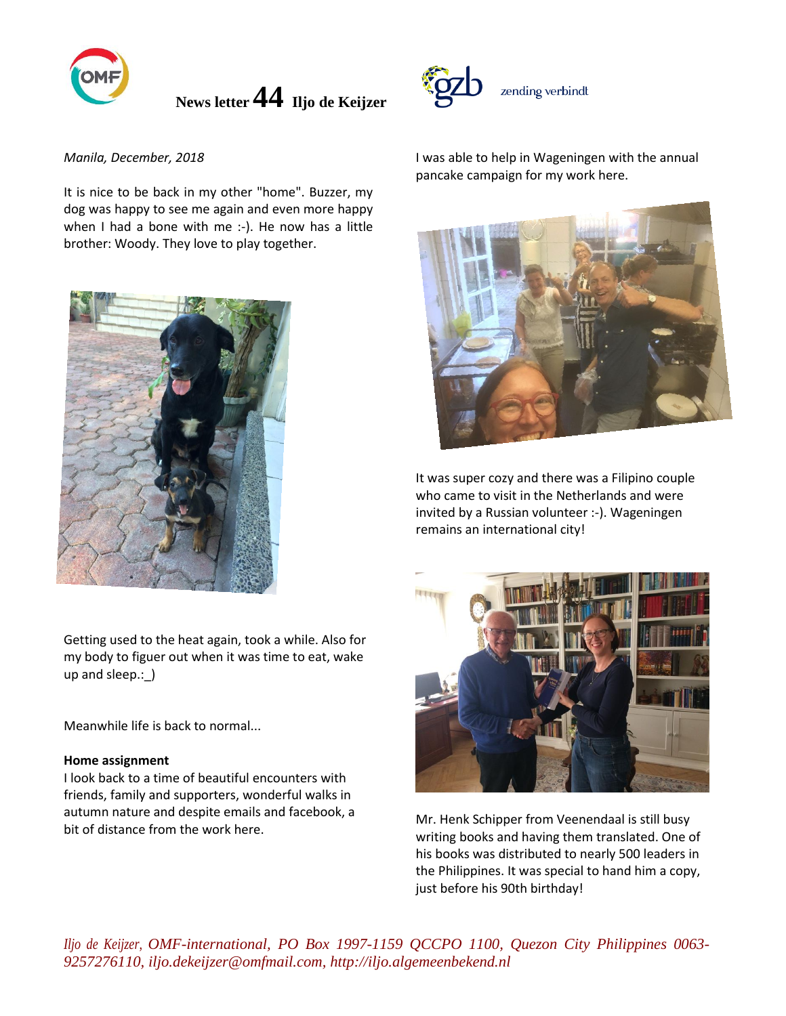

## *Manila, December, 2018*

It is nice to be back in my other "home". Buzzer, my dog was happy to see me again and even more happy when I had a bone with me :-). He now has a little brother: Woody. They love to play together.



Getting used to the heat again, took a while. Also for my body to figuer out when it was time to eat, wake up and sleep.:\_)

Meanwhile life is back to normal...

#### **Home assignment**

I look back to a time of beautiful encounters with friends, family and supporters, wonderful walks in autumn nature and despite emails and facebook, a bit of distance from the work here.



zending verbindt



It was super cozy and there was a Filipino couple who came to visit in the Netherlands and were invited by a Russian volunteer :-). Wageningen remains an international city!



Mr. Henk Schipper from Veenendaal is still busy writing books and having them translated. One of his books was distributed to nearly 500 leaders in the Philippines. It was special to hand him a copy, just before his 90th birthday!

*Iljo de Keijzer, OMF-international, PO Box 1997-1159 QCCPO 1100, Quezon City Philippines 0063- 9257276110, iljo.dekeijzer@omfmail.com, http://iljo.algemeenbekend.nl*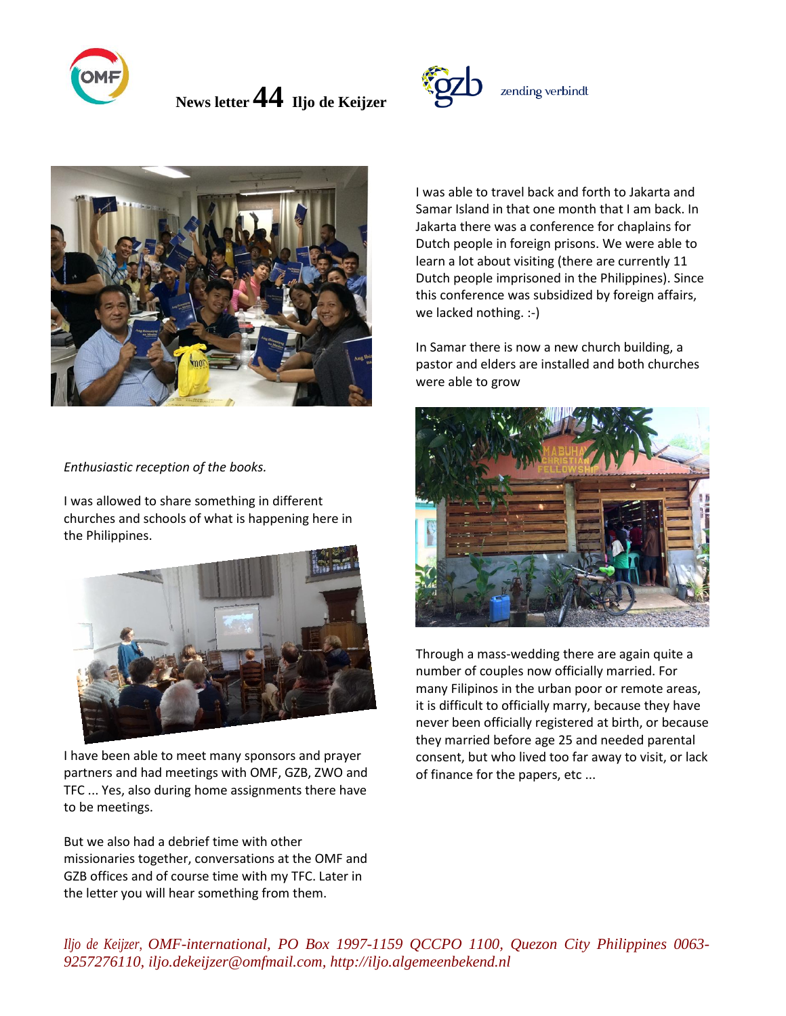



*Enthusiastic reception of the books.*

I was allowed to share something in different churches and schools of what is happening here in the Philippines.



I have been able to meet many sponsors and prayer partners and had meetings with OMF, GZB, ZWO and TFC ... Yes, also during home assignments there have to be meetings.

But we also had a debrief time with other missionaries together, conversations at the OMF and GZB offices and of course time with my TFC. Later in the letter you will hear something from them.



I was able to travel back and forth to Jakarta and Samar Island in that one month that I am back. In Jakarta there was a conference for chaplains for Dutch people in foreign prisons. We were able to learn a lot about visiting (there are currently 11 Dutch people imprisoned in the Philippines). Since this conference was subsidized by foreign affairs, we lacked nothing. :-)

In Samar there is now a new church building, a pastor and elders are installed and both churches were able to grow



Through a mass-wedding there are again quite a number of couples now officially married. For many Filipinos in the urban poor or remote areas, it is difficult to officially marry, because they have never been officially registered at birth, or because they married before age 25 and needed parental consent, but who lived too far away to visit, or lack of finance for the papers, etc ...

*Iljo de Keijzer, OMF-international, PO Box 1997-1159 QCCPO 1100, Quezon City Philippines 0063- 9257276110, iljo.dekeijzer@omfmail.com, http://iljo.algemeenbekend.nl*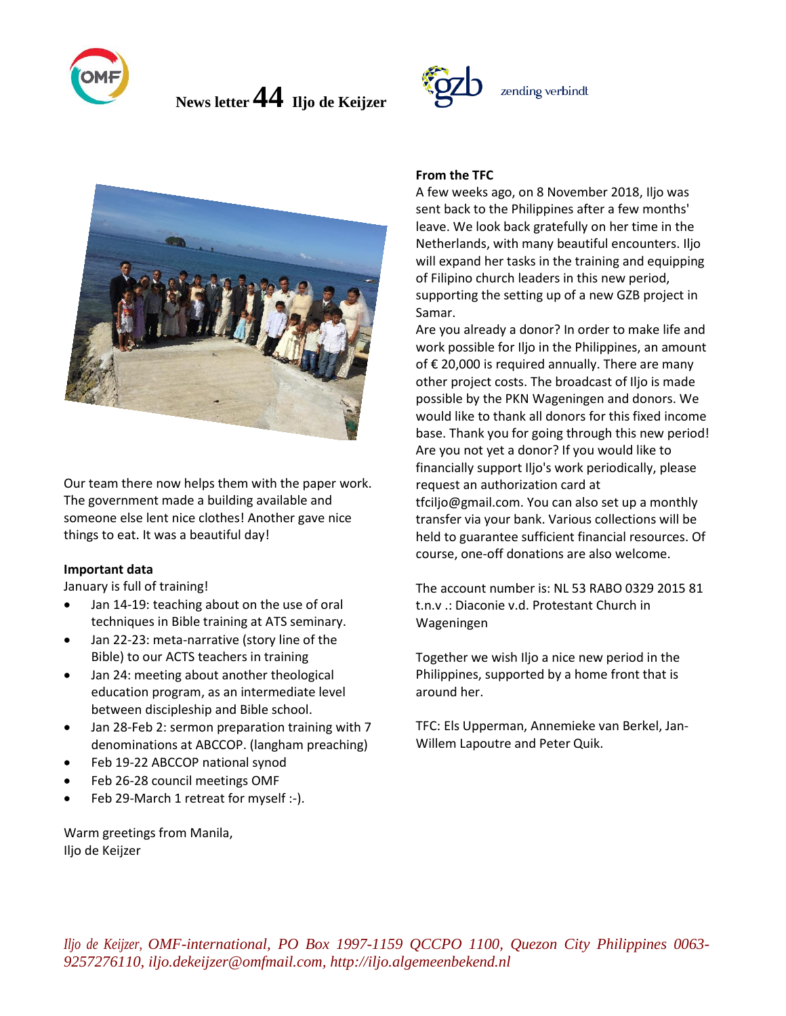



Our team there now helps them with the paper work. The government made a building available and someone else lent nice clothes! Another gave nice things to eat. It was a beautiful day!

#### **Important data**

January is full of training!

- Jan 14-19: teaching about on the use of oral techniques in Bible training at ATS seminary.
- Jan 22-23: meta-narrative (story line of the Bible) to our ACTS teachers in training
- Jan 24: meeting about another theological education program, as an intermediate level between discipleship and Bible school.
- Jan 28-Feb 2: sermon preparation training with 7 denominations at ABCCOP. (langham preaching)
- Feb 19-22 ABCCOP national synod
- Feb 26-28 council meetings OMF
- Feb 29-March 1 retreat for myself :-).

Warm greetings from Manila, Iljo de Keijzer

# **From the TFC**

A few weeks ago, on 8 November 2018, Iljo was sent back to the Philippines after a few months' leave. We look back gratefully on her time in the Netherlands, with many beautiful encounters. Iljo will expand her tasks in the training and equipping of Filipino church leaders in this new period, supporting the setting up of a new GZB project in Samar.

zending verbindt

Are you already a donor? In order to make life and work possible for Iljo in the Philippines, an amount of € 20,000 is required annually. There are many other project costs. The broadcast of Iljo is made possible by the PKN Wageningen and donors. We would like to thank all donors for this fixed income base. Thank you for going through this new period! Are you not yet a donor? If you would like to financially support Iljo's work periodically, please request an authorization card at tfciljo@gmail.com. You can also set up a monthly transfer via your bank. Various collections will be held to guarantee sufficient financial resources. Of course, one-off donations are also welcome.

The account number is: NL 53 RABO 0329 2015 81 t.n.v .: Diaconie v.d. Protestant Church in Wageningen

Together we wish Iljo a nice new period in the Philippines, supported by a home front that is around her.

TFC: Els Upperman, Annemieke van Berkel, Jan-Willem Lapoutre and Peter Quik.

*Iljo de Keijzer, OMF-international, PO Box 1997-1159 QCCPO 1100, Quezon City Philippines 0063- 9257276110, iljo.dekeijzer@omfmail.com, http://iljo.algemeenbekend.nl*